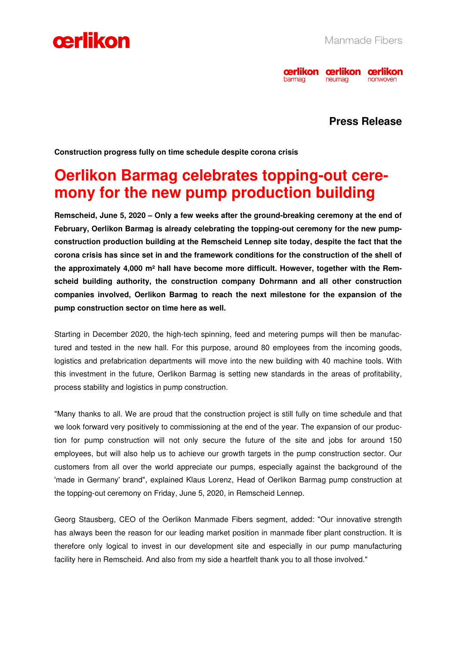



## **Press Release**

**Construction progress fully on time schedule despite corona crisis** 

# **Oerlikon Barmag celebrates topping-out ceremony for the new pump production building**

**Remscheid, June 5, 2020 – Only a few weeks after the ground-breaking ceremony at the end of February, Oerlikon Barmag is already celebrating the topping-out ceremony for the new pumpconstruction production building at the Remscheid Lennep site today, despite the fact that the corona crisis has since set in and the framework conditions for the construction of the shell of the approximately 4,000 m² hall have become more difficult. However, together with the Remscheid building authority, the construction company Dohrmann and all other construction companies involved, Oerlikon Barmag to reach the next milestone for the expansion of the pump construction sector on time here as well.** 

Starting in December 2020, the high-tech spinning, feed and metering pumps will then be manufactured and tested in the new hall. For this purpose, around 80 employees from the incoming goods, logistics and prefabrication departments will move into the new building with 40 machine tools. With this investment in the future, Oerlikon Barmag is setting new standards in the areas of profitability, process stability and logistics in pump construction.

"Many thanks to all. We are proud that the construction project is still fully on time schedule and that we look forward very positively to commissioning at the end of the year. The expansion of our production for pump construction will not only secure the future of the site and jobs for around 150 employees, but will also help us to achieve our growth targets in the pump construction sector. Our customers from all over the world appreciate our pumps, especially against the background of the 'made in Germany' brand", explained Klaus Lorenz, Head of Oerlikon Barmag pump construction at the topping-out ceremony on Friday, June 5, 2020, in Remscheid Lennep.

Georg Stausberg, CEO of the Oerlikon Manmade Fibers segment, added: "Our innovative strength has always been the reason for our leading market position in manmade fiber plant construction. It is therefore only logical to invest in our development site and especially in our pump manufacturing facility here in Remscheid. And also from my side a heartfelt thank you to all those involved."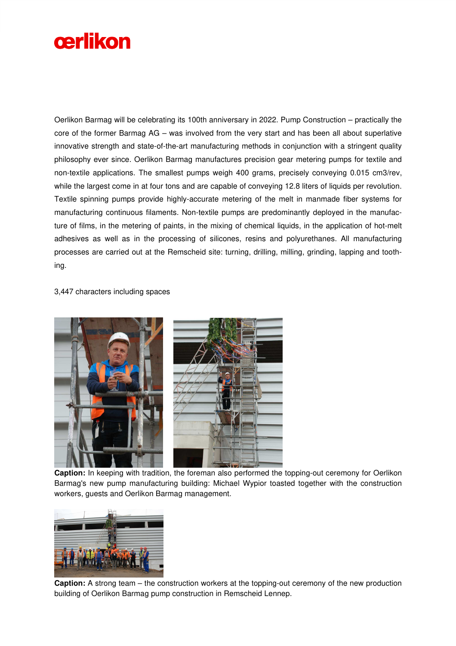

Oerlikon Barmag will be celebrating its 100th anniversary in 2022. Pump Construction – practically the core of the former Barmag AG – was involved from the very start and has been all about superlative innovative strength and state-of-the-art manufacturing methods in conjunction with a stringent quality philosophy ever since. Oerlikon Barmag manufactures precision gear metering pumps for textile and non-textile applications. The smallest pumps weigh 400 grams, precisely conveying 0.015 cm3/rev, while the largest come in at four tons and are capable of conveying 12.8 liters of liquids per revolution. Textile spinning pumps provide highly-accurate metering of the melt in manmade fiber systems for manufacturing continuous filaments. Non-textile pumps are predominantly deployed in the manufacture of films, in the metering of paints, in the mixing of chemical liquids, in the application of hot-melt adhesives as well as in the processing of silicones, resins and polyurethanes. All manufacturing processes are carried out at the Remscheid site: turning, drilling, milling, grinding, lapping and toothing.

#### 3,447 characters including spaces



**Caption:** In keeping with tradition, the foreman also performed the topping-out ceremony for Oerlikon Barmag's new pump manufacturing building: Michael Wypior toasted together with the construction workers, guests and Oerlikon Barmag management.



**Caption:** A strong team – the construction workers at the topping-out ceremony of the new production building of Oerlikon Barmag pump construction in Remscheid Lennep.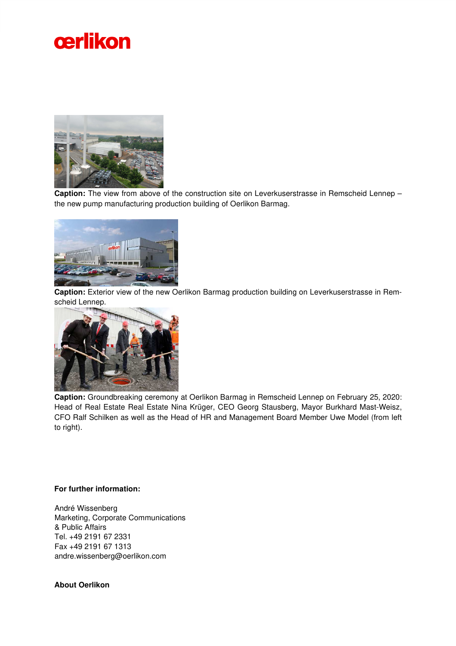



**Caption:** The view from above of the construction site on Leverkuserstrasse in Remscheid Lennep – the new pump manufacturing production building of Oerlikon Barmag.



**Caption:** Exterior view of the new Oerlikon Barmag production building on Leverkuserstrasse in Remscheid Lennep.



**Caption:** Groundbreaking ceremony at Oerlikon Barmag in Remscheid Lennep on February 25, 2020: Head of Real Estate Real Estate Nina Krüger, CEO Georg Stausberg, Mayor Burkhard Mast-Weisz, CFO Ralf Schilken as well as the Head of HR and Management Board Member Uwe Model (from left to right).

#### **For further information:**

André Wissenberg Marketing, Corporate Communications & Public Affairs Tel. +49 2191 67 2331 Fax +49 2191 67 1313 andre.wissenberg@oerlikon.com

### **About Oerlikon**